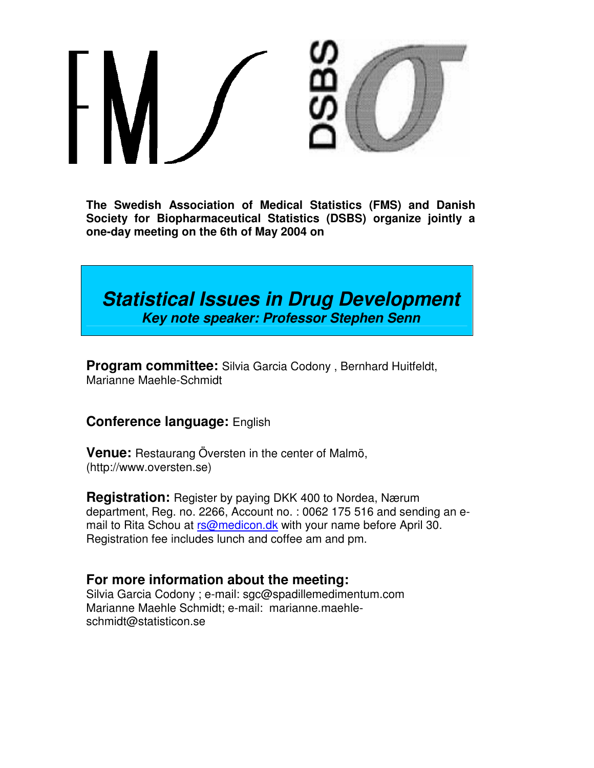

**The Swedish Association of Medical Statistics (FMS) and Danish Society for Biopharmaceutical Statistics (DSBS) organize jointly a one-day meeting on the 6th of May 2004 on**



**Program committee:** Silvia Garcia Codony , Bernhard Huitfeldt, Marianne Maehle-Schmidt

## **Conference language:** English

**Venue:** Restaurang Översten in the center of Malmö, (http://www.oversten.se)

**Registration:** Register by paying DKK 400 to Nordea, Nærum department, Reg. no. 2266, Account no. : 0062 175 516 and sending an email to Rita Schou at rs@medicon.dk with your name before April 30. Registration fee includes lunch and coffee am and pm.

## **For more information about the meeting:**

Silvia Garcia Codony ; e-mail: sgc@spadillemedimentum.com Marianne Maehle Schmidt; e-mail: marianne.maehleschmidt@statisticon.se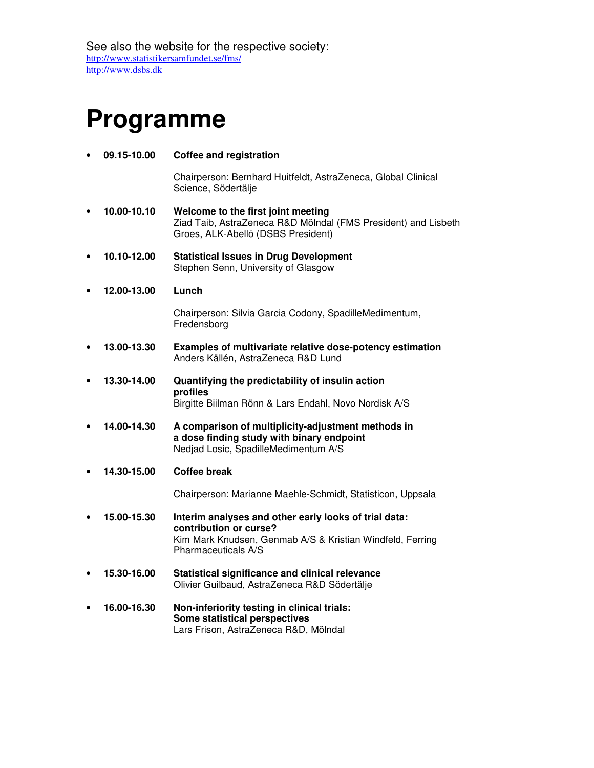See also the website for the respective society: http://www.statistikersamfundet.se/fms/ http://www.dsbs.dk

## **Programme**

| 09.15-10.00 | <b>Coffee and registration</b>                                                                                                                                      |
|-------------|---------------------------------------------------------------------------------------------------------------------------------------------------------------------|
|             | Chairperson: Bernhard Huitfeldt, AstraZeneca, Global Clinical<br>Science, Södertälje                                                                                |
| 10.00-10.10 | Welcome to the first joint meeting<br>Ziad Taib, AstraZeneca R&D Mölndal (FMS President) and Lisbeth<br>Groes, ALK-Abelló (DSBS President)                          |
| 10.10-12.00 | <b>Statistical Issues in Drug Development</b><br>Stephen Senn, University of Glasgow                                                                                |
| 12.00-13.00 | Lunch                                                                                                                                                               |
|             | Chairperson: Silvia Garcia Codony, SpadilleMedimentum,<br>Fredensborg                                                                                               |
| 13.00-13.30 | Examples of multivariate relative dose-potency estimation<br>Anders Källén, AstraZeneca R&D Lund                                                                    |
| 13.30-14.00 | Quantifying the predictability of insulin action<br>profiles<br>Birgitte Biilman Rönn & Lars Endahl, Novo Nordisk A/S                                               |
| 14.00-14.30 | A comparison of multiplicity-adjustment methods in<br>a dose finding study with binary endpoint<br>Nedjad Losic, SpadilleMedimentum A/S                             |
| 14.30-15.00 | <b>Coffee break</b>                                                                                                                                                 |
|             | Chairperson: Marianne Maehle-Schmidt, Statisticon, Uppsala                                                                                                          |
| 15.00-15.30 | Interim analyses and other early looks of trial data:<br>contribution or curse?<br>Kim Mark Knudsen, Genmab A/S & Kristian Windfeld, Ferring<br>Pharmaceuticals A/S |
| 15.30-16.00 | Statistical significance and clinical relevance<br>Olivier Guilbaud, AstraZeneca R&D Södertälje                                                                     |
| 16.00-16.30 | Non-inferiority testing in clinical trials:<br>Some statistical perspectives<br>Lars Frison, AstraZeneca R&D, Mölndal                                               |
|             |                                                                                                                                                                     |